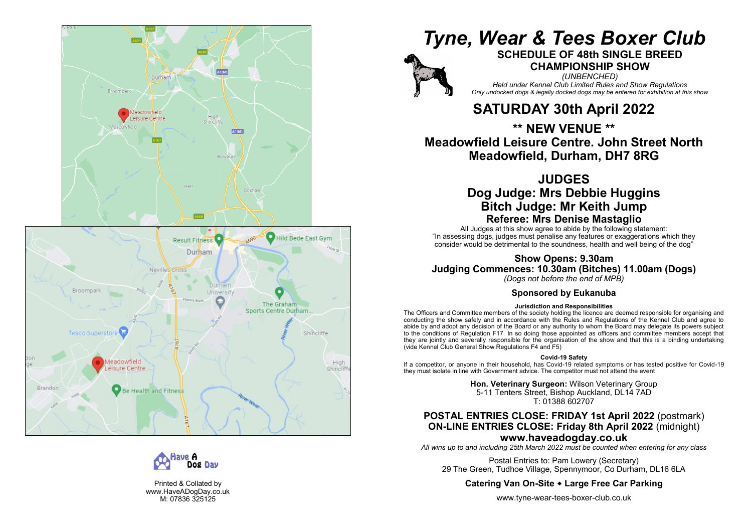



Printed & Collated by www.HaveADogDay.co.uk M: 07836 325125

# *Tyne, Wear & Tees Boxer Club*



# **SCHEDULE OF 48th SINGLE BREED CHAMPIONSHIP SHOW**

*(UNBENCHED) Held under Kennel Club Limited Rules and Show Regulations Only undocked dogs & legally docked dogs may be entered for exhibition at this show*

# **SATURDAY 30th April 2022**

**\*\* NEW VENUE \*\* Meadowfield Leisure Centre. John Street North Meadowfield, Durham, DH7 8RG**

# **JUDGES Dog Judge: Mrs Debbie Huggins Bitch Judge: Mr Keith Jump Referee: Mrs Denise Mastaglio**

All Judges at this show agree to abide by the following statement: "In assessing dogs, judges must penalise any features or exaggerations which they consider would be detrimental to the soundness, health and well being of the dog "

**Show Opens: 9.30am Judging Commences: 10.30am (Bitches) 11.00am (Dogs)**

*(Dogs not before the end of MPB)*

# **Sponsored by Eukanuba**

### **Jurisdiction and Responsibilities**

The Officers and Committee members of the society holding the licence are deemed responsible for organising and conducting the show safely and in accordance with the Rules and Regulations of the Kennel Club and agree to abide by and adopt any decision of the Board or any authority to whom the Board may delegate its powers subject to the conditions of Regulation F17. In so doing those appointed as officers and committee members accept that they are jointly and severally responsible for the organisation of the show and that this is a binding undertaking (vide Kennel Club General Show Regulations F4 and F5)

### **Covid -19 Safety**

If a competitor, or anyone in their household, has Covid -19 related symptoms or has tested positive for Covid -19 they must isolate in line with Government advice. The competitor must not attend the event

> **Hon. Veterinary Surgeon:** Wilson Veterinary Group 5-11 Tenters Street, Bishop Auckland, DL14 7AD T: 01388 602707

# **POSTAL ENTRIES CLOSE: FRIDAY 1st April 2022** (postmark) **ON -LINE ENTRIES CLOSE: Friday 8th April 2022** (midnight) **www.haveadogday.co.uk**

*All wins up to and including 25th March 2022 must be counted when entering for any class*

Postal Entries to: Pam Lowery (Secretary) 29 The Green, Tudhoe Village, Spennymoor, Co Durham, DL16 6LA

# **Catering Van On -Site Large Free Car Parking**

www.tyne -wear -tees -boxer -club.co.uk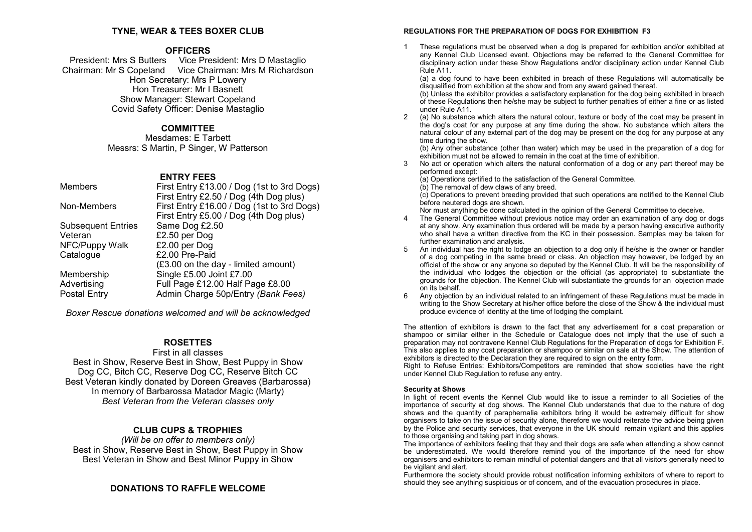### **TYNE, WEAR & TEES BOXER CLUB**

### **OFFICERS**

President: Mrs S Butters Vice President: Mrs D Mastaglio Chairman: Mr S Copeland Vice Chairman: Mrs M Richardson Hon Secretary: Mrs P Lowery Hon Treasurer: Mr I Basnett Show Manager: Stewart Copeland Covid Safety Officer: Denise Mastaglio

### **COMMITTEE**

Mesdames: E Tarbett Messrs: S Martin, P Singer, W Patterson

### **ENTRY FEES**

| <b>Members</b>            | First Entry £13.00 / Dog (1st to 3rd Dogs)<br>First Entry £2.50 / Dog (4th Dog plus) |
|---------------------------|--------------------------------------------------------------------------------------|
| Non-Members               | First Entry £16.00 / Dog (1st to 3rd Dogs)<br>First Entry £5.00 / Dog (4th Dog plus) |
| <b>Subsequent Entries</b> | Same Dog £2.50                                                                       |
| Veteran                   | £2.50 per Dog                                                                        |
| NFC/Puppy Walk            | £2.00 per Dog                                                                        |
| Catalogue                 | £2.00 Pre-Paid                                                                       |
|                           | (£3.00 on the day - limited amount)                                                  |
| Membership                | Single £5.00 Joint £7.00                                                             |
| Advertising               | Full Page £12.00 Half Page £8.00                                                     |
| <b>Postal Entry</b>       | Admin Charge 50p/Entry (Bank Fees)                                                   |

*Boxer Rescue donations welcomed and will be acknowledged*

# **ROSETTES**

### First in all classes

Best in Show, Reserve Best in Show, Best Puppy in Show Dog CC, Bitch CC, Reserve Dog CC, Reserve Bitch CC Best Veteran kindly donated by Doreen Greaves (Barbarossa) In memory of Barbarossa Matador Magic (Marty) *Best Veteran from the Veteran classes only*

# **CLUB CUPS & TROPHIES**

*(Will be on offer to members only)* Best in Show, Reserve Best in Show, Best Puppy in Show Best Veteran in Show and Best Minor Puppy in Show

# **DONATIONS TO RAFFLE WELCOME**

### **REGULATIONS FOR THE PREPARATION OF DOGS FOR EXHIBITION F3**

1 These regulations must be observed when a dog is prepared for exhibition and/or exhibited at any Kennel Club Licensed event. Objections may be referred to the General Committee for disciplinary action under these Show Regulations and/or disciplinary action under Kennel Club Rule A11.

(a) a dog found to have been exhibited in breach of these Regulations will automatically be disqualified from exhibition at the show and from any award gained thereat.

(b) Unless the exhibitor provides a satisfactory explanation for the dog being exhibited in breach of these Regulations then he/she may be subject to further penalties of either a fine or as listed under Rule A11.

2 (a) No substance which alters the natural colour, texture or body of the coat may be present in the dog's coat for any purpose at any time during the show. No substance which alters the natural colour of any external part of the dog may be present on the dog for any purpose at any time during the show.

(b) Any other substance (other than water) which may be used in the preparation of a dog for exhibition must not be allowed to remain in the coat at the time of exhibition.

3 No act or operation which alters the natural conformation of a dog or any part thereof may be performed except:

(a) Operations certified to the satisfaction of the General Committee.

(b) The removal of dew claws of any breed.

 $(c)$  Operations to prevent breeding provided that such operations are notified to the Kennel Club before neutered dogs are shown.

Nor must anything be done calculated in the opinion of the General Committee to deceive.

- 4 The General Committee without previous notice may order an examination of any dog or dogs at any show. Any examination thus ordered will be made by a person having executive authority who shall have a written directive from the KC in their possession. Samples may be taken for further examination and analysis.
- 5 An individual has the right to lodge an objection to a dog only if he/she is the owner or handler of a dog competing in the same breed or class. An objection may however, be lodged by an official of the show or any anyone so deputed by the Kennel Club. It will be the responsibility of the individual who lodges the objection or the official (as appropriate) to substantiate the grounds for the objection. The Kennel Club will substantiate the grounds for an objection made on its behalf.
- 6 Any objection by an individual related to an infringement of these Regulations must be made in writing to the Show Secretary at his/her office before the close of the Show & the individual must produce evidence of identity at the time of lodging the complaint.

The attention of exhibitors is drawn to the fact that any advertisement for a coat preparation or shampoo or similar either in the Schedule or Catalogue does not imply that the use of such a preparation may not contravene Kennel Club Regulations for the Preparation of dogs for Exhibition F. This also applies to any coat preparation or shampoo or similar on sale at the Show. The attention of exhibitors is directed to the Declaration they are required to sign on the entry form.

Right to Refuse Entries: Exhibitors/Competitors are reminded that show societies have the right under Kennel Club Regulation to refuse any entry.

### **Security at Shows**

In light of recent events the Kennel Club would like to issue a reminder to all Societies of the importance of security at dog shows. The Kennel Club understands that due to the nature of dog shows and the quantity of paraphernalia exhibitors bring it would be extremely difficult for show organisers to take on the issue of security alone, therefore we would reiterate the advice being given by the Police and security services, that everyone in the UK should remain vigilant and this applies to those organising and taking part in dog shows.

The importance of exhibitors feeling that they and their dogs are safe when attending a show cannot be underestimated. We would therefore remind you of the importance of the need for show organisers and exhibitors to remain mindful of potential dangers and that all visitors generally need to be vigilant and alert.

Furthermore the society should provide robust notification informing exhibitors of where to report to should they see anything suspicious or of concern, and of the evacuation procedures in place.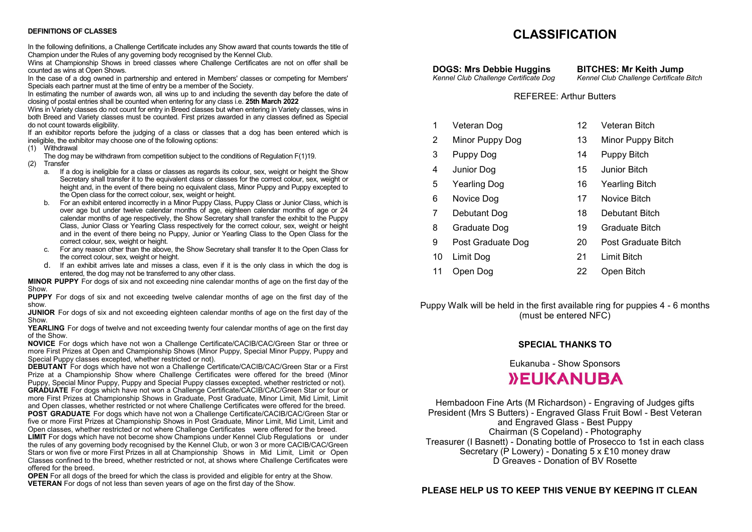### **DEFINITIONS OF CLASSES**

In the following definitions, a Challenge Certificate includes any Show award that counts towards the title of Champion under the Rules of any governing body recognised by the Kennel Club.

Wins at Championship Shows in breed classes where Challenge Certificates are not on offer shall be counted as wins at Open Shows.

In the case of a dog owned in partnership and entered in Members' classes or competing for Members' Specials each partner must at the time of entry be a member of the Society.

In estimating the number of awards won, all wins up to and including the seventh day before the date of closing of postal entries shall be counted when entering for any class i.e. **25th March 2022**

Wins in Variety classes do not count for entry in Breed classes but when entering in Variety classes, wins in both Breed and Variety classes must be counted. First prizes awarded in any classes defined as Special do not count towards eligibility.

If an exhibitor reports before the judging of a class or classes that a dog has been entered which is ineligible, the exhibitor may choose one of the following options:

(1) Withdrawal

The dog may be withdrawn from competition subject to the conditions of Regulation F(1)19.

- (2) Transfer
	- a. If a dog is ineligible for a class or classes as regards its colour, sex, weight or height the Show Secretary shall transfer it to the equivalent class or classes for the correct colour, sex, weight or height and, in the event of there being no equivalent class, Minor Puppy and Puppy excepted to the Open class for the correct colour, sex, weight or height.
	- b. For an exhibit entered incorrectly in a Minor Puppy Class, Puppy Class or Junior Class, which is over age but under twelve calendar months of age, eighteen calendar months of age or 24 calendar months of age respectively, the Show Secretary shall transfer the exhibit to the Puppy Class, Junior Class or Yearling Class respectively for the correct colour, sex, weight or height and in the event of there being no Puppy, Junior or Yearling Class to the Open Class for the correct colour, sex, weight or height.
	- c. For any reason other than the above, the Show Secretary shall transfer It to the Open Class for the correct colour, sex, weight or height.
	- d. If an exhibit arrives late and misses a class, even if it is the only class in which the dog is entered, the dog may not be transferred to any other class.

**MINOR PUPPY** For dogs of six and not exceeding nine calendar months of age on the first day of the Show.

**PUPPY** For dogs of six and not exceeding twelve calendar months of age on the first day of the show.

**JUNIOR** For dogs of six and not exceeding eighteen calendar months of age on the first day of the Show.

**YEARLING** For dogs of twelve and not exceeding twenty four calendar months of age on the first day of the Show.

**NOVICE** For dogs which have not won a Challenge Certificate/CACIB/CAC/Green Star or three or more First Prizes at Open and Championship Shows (Minor Puppy, Special Minor Puppy, Puppy and Special Puppy classes excepted, whether restricted or not).

**DEBUTANT** For dogs which have not won a Challenge Certificate/CACIB/CAC/Green Star or a First Prize at a Championship Show where Challenge Certificates were offered for the breed (Minor Puppy, Special Minor Puppy, Puppy and Special Puppy classes excepted, whether restricted or not). GRADUATE For dogs which have not won a Challenge Certificate/CACIB/CAC/Green Star or four or more First Prizes at Championship Shows in Graduate, Post Graduate, Minor Limit, Mid Limit, Limit and Open classes, whether restricted or not where Challenge Certificates were offered for the breed. **POST GRADUATE** For dogs which have not won a Challenge Certificate/CACIB/CAC/Green Star or

five or more First Prizes at Championship Shows in Post Graduate, Minor Limit, Mid Limit, Limit and Open classes, whether restricted or not where Challenge Certificates were offered for the breed.

**LIMIT** For dogs which have not become show Champions under Kennel Club Regulations or under the rules of any governing body recognised by the Kennel Club, or won 3 or more CACIB/CAC/Green Stars or won five or more First Prizes in all at Championship Shows in Mid Limit, Limit or Open Classes confined to the breed, whether restricted or not, at shows where Challenge Certificates were offered for the breed.

**OPEN** For all dogs of the breed for which the class is provided and eligible for entry at the Show. **VETERAN** For dogs of not less than seven years of age on the first day of the Show.

# **CLASSIFICATION**

**DOGS: Mrs Debbie Huggins BITCHES: Mr Keith Jump**<br> *Kennel Club Challenge Certificate Dog Kennel Club Challenge Certificate Kennel Club Challenge Certificate Dog Kennel Club Challenge Certificate Bitch*

### REFEREE: Arthur Butters

- 1 Veteran Dog 12 Veteran Bitch
- 2 Minor Puppy Dog 13 Minor Puppy Bitch
- 3 Puppy Dog 14 Puppy Bitch
- 4 Junior Dog 15 Junior Bitch
	- -
- 6 Novice Dog 17 Novice Bitch
- 7 Debutant Dog 18 Debutant Bitch
- 8 Graduate Dog 19 Graduate Bitch
- 9 Post Graduate Dog 20 Post Graduate Bitch
- 10 Limit Dog 21 Limit Bitch
- 11 Open Dog 22 Open Bitch

Puppy Walk will be held in the first available ring for puppies 4 - 6 months (must be entered NFC)

### **SPECIAL THANKS TO**

Eukanuba - Show Sponsors

# *NEUKANUBA*

Hembadoon Fine Arts (M Richardson) - Engraving of Judges gifts President (Mrs S Butters) - Engraved Glass Fruit Bowl - Best Veteran and Engraved Glass - Best Puppy Chairman (S Copeland) - Photography Treasurer (I Basnett) - Donating bottle of Prosecco to 1st in each class Secretary (P Lowery) - Donating 5 x £10 money draw D Greaves - Donation of BV Rosette

**PLEASE HELP US TO KEEP THIS VENUE BY KEEPING IT CLEAN**

- 
- 5 Yearling Dog 16 Yearling Bitch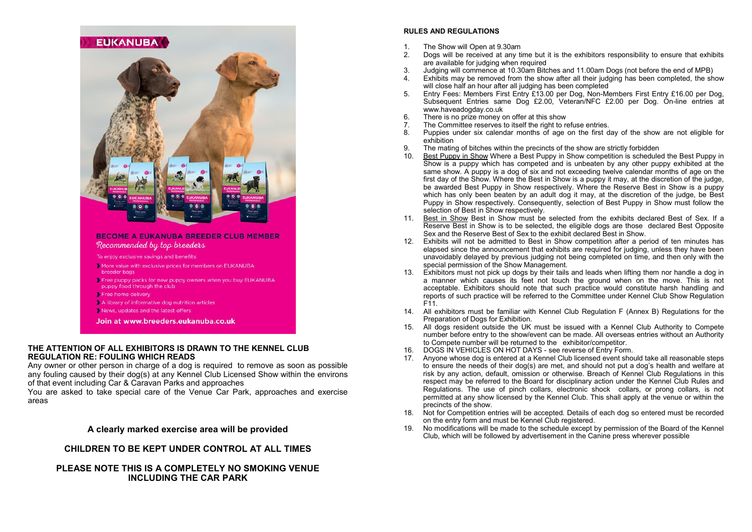

- breeder bags
- Free puppy packs for new puppy owners when you buy EUKANUBA puppy food through the club
- Free home delivery
- A library of informative dog nutrition articles
- News, updates and the latest offers
- Join at www.breeders.eukanuba.co.uk

### **THE ATTENTION OF ALL EXHIBITORS IS DRAWN TO THE KENNEL CLUB REGULATION RE: FOULING WHICH READS**

Any owner or other person in charge of a dog is required to remove as soon as possible any fouling caused by their dog(s) at any Kennel Club Licensed Show within the environs of that event including Car & Caravan Parks and approaches

You are asked to take special care of the Venue Car Park, approaches and exercise areas

### **A clearly marked exercise area will be provided**

**CHILDREN TO BE KEPT UNDER CONTROL AT ALL TIMES**

**PLEASE NOTE THIS IS A COMPLETELY NO SMOKING VENUE INCLUDING THE CAR PARK**

### **RULES AND REGULATIONS**

- 1. The Show will Open at 9.30am
- 2. Dogs will be received at any time but it is the exhibitors responsibility to ensure that exhibits are available for judging when required
- 3. Judging will commence at 10.30am Bitches and 11.00am Dogs (not before the end of MPB)
- 4. Exhibits may be removed from the show after all their judging has been completed, the show will close half an hour after all judging has been completed
- 5. Entry Fees: Members First Entry £13.00 per Dog, Non-Members First Entry £16.00 per Dog, Subsequent Entries same Dog £2.00, Veteran/NFC £2.00 per Dog. On-line entries at www.haveadogday.co.uk
- 6. There is no prize money on offer at this show<br>7 The Committee reserves to itself the right to re
- 7. The Committee reserves to itself the right to refuse entries.<br>8. Puppies under six calendar months of age on the first d
- Puppies under six calendar months of age on the first day of the show are not eligible for exhibition
- 9. The mating of bitches within the precincts of the show are strictly forbidden<br>10 Best Puppy in Show Where a Best Puppy in Show competition is schedule
- Best Puppy in Show Where a Best Puppy in Show competition is scheduled the Best Puppy in Show is a puppy which has competed and is unbeaten by any other puppy exhibited at the same show. A puppy is a dog of six and not exceeding twelve calendar months of age on the first day of the Show. Where the Best in Show is a puppy it may, at the discretion of the judge, be awarded Best Puppy in Show respectively. Where the Reserve Best in Show is a puppy which has only been beaten by an adult dog it may, at the discretion of the judge, be Best Puppy in Show respectively. Consequently, selection of Best Puppy in Show must follow the selection of Best in Show respectively.
- 11. Best in Show Best in Show must be selected from the exhibits declared Best of Sex. If a Reserve Best in Show is to be selected, the eligible dogs are those declared Best Opposite Sex and the Reserve Best of Sex to the exhibit declared Best in Show.
- 12. Exhibits will not be admitted to Best in Show competition after a period of ten minutes has elapsed since the announcement that exhibits are required for judging, unless they have been unavoidably delayed by previous judging not being completed on time, and then only with the special permission of the Show Management.
- 13. Exhibitors must not pick up dogs by their tails and leads when lifting them nor handle a dog in a manner which causes its feet not touch the ground when on the move. This is not acceptable. Exhibitors should note that such practice would constitute harsh handling and reports of such practice will be referred to the Committee under Kennel Club Show Regulation F11.
- 14. All exhibitors must be familiar with Kennel Club Regulation F (Annex B) Regulations for the Preparation of Dogs for Exhibition.
- 15. All dogs resident outside the UK must be issued with a Kennel Club Authority to Compete number before entry to the show/event can be made. All overseas entries without an Authority to Compete number will be returned to the exhibitor/competitor.
- 16. DOGS IN VEHICLES ON HOT DAYS see reverse of Entry Form.
- 17. Anyone whose dog is entered at a Kennel Club licensed event should take all reasonable steps to ensure the needs of their dog(s) are met, and should not put a dog's health and welfare at risk by any action, default, omission or otherwise. Breach of Kennel Club Regulations in this respect may be referred to the Board for disciplinary action under the Kennel Club Rules and Regulations. The use of pinch collars, electronic shock collars, or prong collars, is not permitted at any show licensed by the Kennel Club. This shall apply at the venue or within the precincts of the show.
- 18. Not for Competition entries will be accepted. Details of each dog so entered must be recorded on the entry form and must be Kennel Club registered.
- 19. No modifications will be made to the schedule except by permission of the Board of the Kennel Club, which will be followed by advertisement in the Canine press wherever possible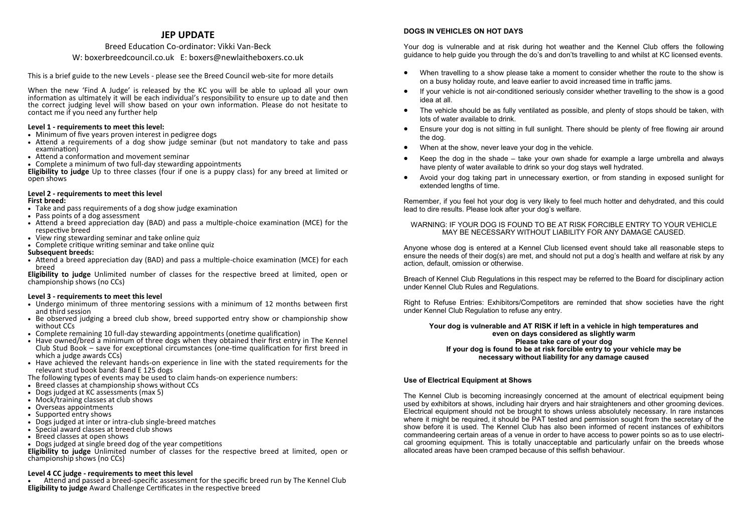### **JEP UPDATE**

### Breed Education Co-ordinator: Vikki Van-Beck W: boxerbreedcouncil.co.uk E: boxers@newlaitheboxers.co.uk

This is a brief guide to the new Levels - please see the Breed Council web-site for more details

When the new 'Find A Judge' is released by the KC you will be able to upload all your own information as ultimately it will be each individual's responsibility to ensure up to date and then the correct judging level will show based on your own information. Please do not hesitate to contact me if you need any further help

### **Level 1 - requirements to meet this level:**

- Minimum of five years proven interest in pedigree dogs
- Attend a requirements of a dog show judge seminar (but not mandatory to take and pass examination)
- Attend a conformation and movement seminar
- Complete a minimum of two full-day stewarding appointments

**Eligibility to judge** Up to three classes (four if one is a puppy class) for any breed at limited or open shows

### **Level 2 - requirements to meet this level First breed:**

- Take and pass requirements of a dog show judge examination
- Pass points of a dog assessment
- Attend a breed appreciation day (BAD) and pass a multiple-choice examination (MCE) for the respective breed
- View ring stewarding seminar and take online quiz
- Complete critique writing seminar and take online quiz

### **Subsequent breeds:**

• Attend a breed appreciation day (BAD) and pass a multiple-choice examination (MCE) for each breed

**Eligibility to judge** Unlimited number of classes for the respective breed at limited, open or championship shows (no CCs)

### **Level 3 - requirements to meet this level**

- Undergo minimum of three mentoring sessions with a minimum of 12 months between first and third session
- Be observed judging a breed club show, breed supported entry show or championship show without CCs
- Complete remaining 10 full-day stewarding appointments (onetime qualification)
- Have owned/bred a minimum of three dogs when they obtained their first entry in The Kennel Club Stud Book – save for exceptional circumstances (one-time qualification for first breed in which a judge awards CCs)
- Have achieved the relevant hands-on experience in line with the stated requirements for the relevant stud book band: Band E 125 dogs
- The following types of events may be used to claim hands-on experience numbers:
- Breed classes at championship shows without CCs
- Dogs judged at KC assessments (max 5)
- Mock/training classes at club shows
- Overseas appointments
- Supported entry shows
- Dogs judged at inter or intra-club single-breed matches
- Special award classes at breed club shows
- Breed classes at open shows
- Dogs judged at single breed dog of the year competitions

**Eligibility to judge** Unlimited number of classes for the respective breed at limited, open or championship shows (no CCs)

### **Level 4 CC judge - requirements to meet this level**

• Attend and passed a breed-specific assessment for the specific breed run by The Kennel Club **Eligibility to judge** Award Challenge Certificates in the respective breed

### **DOGS IN VEHICLES ON HOT DAYS**

Your dog is vulnerable and at risk during hot weather and the Kennel Club offers the following guidance to help guide you through the do's and don'ts travelling to and whilst at KC licensed events.

- When travelling to a show please take a moment to consider whether the route to the show is on a busy holiday route, and leave earlier to avoid increased time in traffic jams.
- If your vehicle is not air-conditioned seriously consider whether travelling to the show is a good idea at all.
- The vehicle should be as fully ventilated as possible, and plenty of stops should be taken, with lots of water available to drink.
- Ensure your dog is not sitting in full sunlight. There should be plenty of free flowing air around the dog.
- When at the show, never leave your dog in the vehicle.
- Keep the dog in the shade take your own shade for example a large umbrella and always have plenty of water available to drink so your dog stays well hydrated.
- Avoid your dog taking part in unnecessary exertion, or from standing in exposed sunlight for extended lengths of time.

Remember, if you feel hot your dog is very likely to feel much hotter and dehydrated, and this could lead to dire results. Please look after your dog's welfare.

### WARNING: IF YOUR DOG IS FOUND TO BE AT RISK FORCIBLE ENTRY TO YOUR VEHICLE MAY BE NECESSARY WITHOUT LIABILITY FOR ANY DAMAGE CAUSED.

Anyone whose dog is entered at a Kennel Club licensed event should take all reasonable steps to ensure the needs of their dog(s) are met, and should not put a dog's health and welfare at risk by any action, default, omission or otherwise.

Breach of Kennel Club Regulations in this respect may be referred to the Board for disciplinary action under Kennel Club Rules and Regulations.

Right to Refuse Entries: Exhibitors/Competitors are reminded that show societies have the right under Kennel Club Regulation to refuse any entry.

### **Your dog is vulnerable and AT RISK if left in a vehicle in high temperatures and even on days considered as slightly warm Please take care of your dog If your dog is found to be at risk forcible entry to your vehicle may be necessary without liability for any damage caused**

### **Use of Electrical Equipment at Shows**

The Kennel Club is becoming increasingly concerned at the amount of electrical equipment being used by exhibitors at shows, including hair dryers and hair straighteners and other grooming devices. Electrical equipment should not be brought to shows unless absolutely necessary. In rare instances where it might be required, it should be PAT tested and permission sought from the secretary of the show before it is used. The Kennel Club has also been informed of recent instances of exhibitors commandeering certain areas of a venue in order to have access to power points so as to use electrical grooming equipment. This is totally unacceptable and particularly unfair on the breeds whose allocated areas have been cramped because of this selfish behaviour.